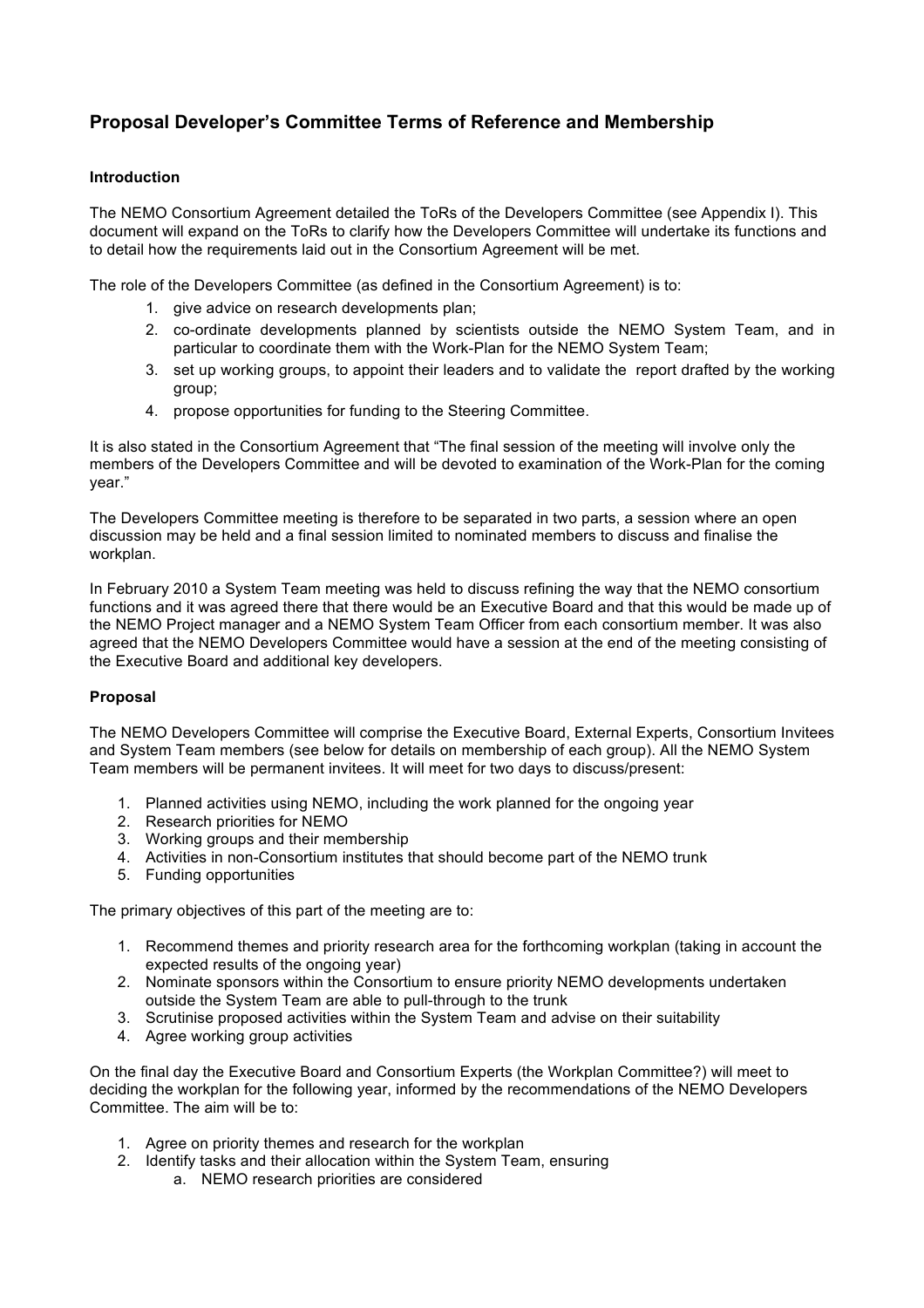# **Proposal Developer's Committee Terms of Reference and Membership**

### **Introduction**

The NEMO Consortium Agreement detailed the ToRs of the Developers Committee (see Appendix I). This document will expand on the ToRs to clarify how the Developers Committee will undertake its functions and to detail how the requirements laid out in the Consortium Agreement will be met.

The role of the Developers Committee (as defined in the Consortium Agreement) is to:

- 1. give advice on research developments plan;
- 2. co-ordinate developments planned by scientists outside the NEMO System Team, and in particular to coordinate them with the Work-Plan for the NEMO System Team;
- 3. set up working groups, to appoint their leaders and to validate the report drafted by the working group;
- 4. propose opportunities for funding to the Steering Committee.

It is also stated in the Consortium Agreement that "The final session of the meeting will involve only the members of the Developers Committee and will be devoted to examination of the Work-Plan for the coming year."

The Developers Committee meeting is therefore to be separated in two parts, a session where an open discussion may be held and a final session limited to nominated members to discuss and finalise the workplan.

In February 2010 a System Team meeting was held to discuss refining the way that the NEMO consortium functions and it was agreed there that there would be an Executive Board and that this would be made up of the NEMO Project manager and a NEMO System Team Officer from each consortium member. It was also agreed that the NEMO Developers Committee would have a session at the end of the meeting consisting of the Executive Board and additional key developers.

### **Proposal**

The NEMO Developers Committee will comprise the Executive Board, External Experts, Consortium Invitees and System Team members (see below for details on membership of each group). All the NEMO System Team members will be permanent invitees. It will meet for two days to discuss/present:

- 1. Planned activities using NEMO, including the work planned for the ongoing year
- 2. Research priorities for NEMO
- 3. Working groups and their membership
- 4. Activities in non-Consortium institutes that should become part of the NEMO trunk
- 5. Funding opportunities

The primary objectives of this part of the meeting are to:

- 1. Recommend themes and priority research area for the forthcoming workplan (taking in account the expected results of the ongoing year)
- 2. Nominate sponsors within the Consortium to ensure priority NEMO developments undertaken outside the System Team are able to pull-through to the trunk
- 3. Scrutinise proposed activities within the System Team and advise on their suitability
- 4. Agree working group activities

On the final day the Executive Board and Consortium Experts (the Workplan Committee?) will meet to deciding the workplan for the following year, informed by the recommendations of the NEMO Developers Committee. The aim will be to:

- 1. Agree on priority themes and research for the workplan
- 2. Identify tasks and their allocation within the System Team, ensuring
	- a. NEMO research priorities are considered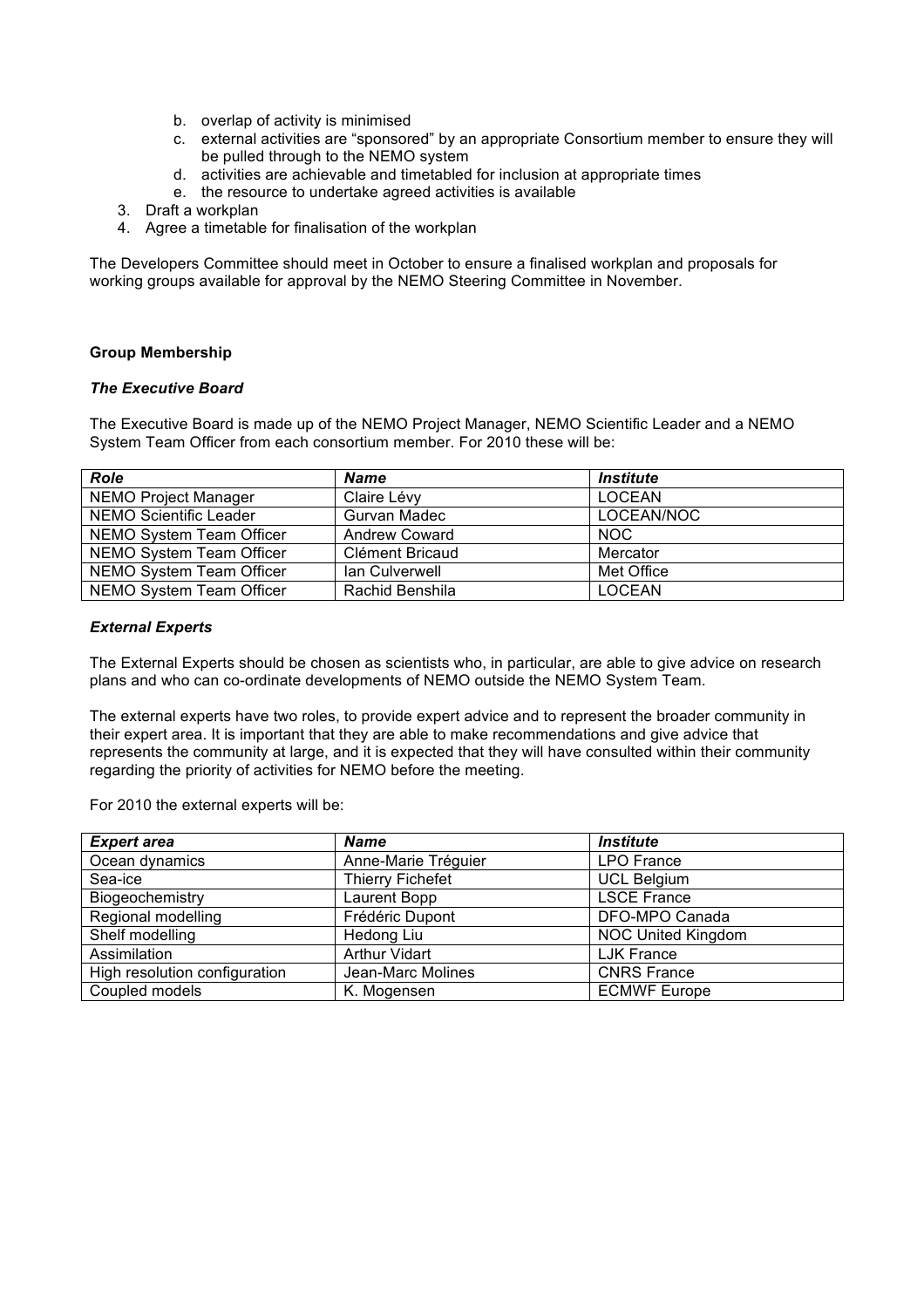- b. overlap of activity is minimised
- c. external activities are "sponsored" by an appropriate Consortium member to ensure they will be pulled through to the NEMO system
- d. activities are achievable and timetabled for inclusion at appropriate times
- e. the resource to undertake agreed activities is available
- 3. Draft a workplan
- 4. Agree a timetable for finalisation of the workplan

The Developers Committee should meet in October to ensure a finalised workplan and proposals for working groups available for approval by the NEMO Steering Committee in November.

### **Group Membership**

#### *The Executive Board*

The Executive Board is made up of the NEMO Project Manager, NEMO Scientific Leader and a NEMO System Team Officer from each consortium member. For 2010 these will be:

| <b>Role</b>                 | <b>Name</b>     | <i><b>Institute</b></i> |
|-----------------------------|-----------------|-------------------------|
| <b>NEMO Project Manager</b> | Claire Lévy     | <b>LOCEAN</b>           |
| NEMO Scientific Leader      | Gurvan Madec    | LOCEAN/NOC              |
| NEMO System Team Officer    | Andrew Coward   | NOC.                    |
| NEMO System Team Officer    | Clément Bricaud | Mercator                |
| NEMO System Team Officer    | lan Culverwell  | Met Office              |
| NEMO System Team Officer    | Rachid Benshila | <b>LOCEAN</b>           |

#### *External Experts*

The External Experts should be chosen as scientists who, in particular, are able to give advice on research plans and who can co-ordinate developments of NEMO outside the NEMO System Team.

The external experts have two roles, to provide expert advice and to represent the broader community in their expert area. It is important that they are able to make recommendations and give advice that represents the community at large, and it is expected that they will have consulted within their community regarding the priority of activities for NEMO before the meeting.

For 2010 the external experts will be:

| <b>Expert area</b>            | <b>Name</b>             | <b>Institute</b>          |
|-------------------------------|-------------------------|---------------------------|
| Ocean dynamics                | Anne-Marie Tréguier     | LPO France                |
| Sea-ice                       | <b>Thierry Fichefet</b> | <b>UCL Belgium</b>        |
| Biogeochemistry               | Laurent Bopp            | <b>LSCE France</b>        |
| Regional modelling            | Frédéric Dupont         | DFO-MPO Canada            |
| Shelf modelling               | Hedong Liu              | <b>NOC United Kingdom</b> |
| Assimilation                  | <b>Arthur Vidart</b>    | <b>LJK France</b>         |
| High resolution configuration | Jean-Marc Molines       | <b>CNRS France</b>        |
| Coupled models                | K. Mogensen             | <b>ECMWF Europe</b>       |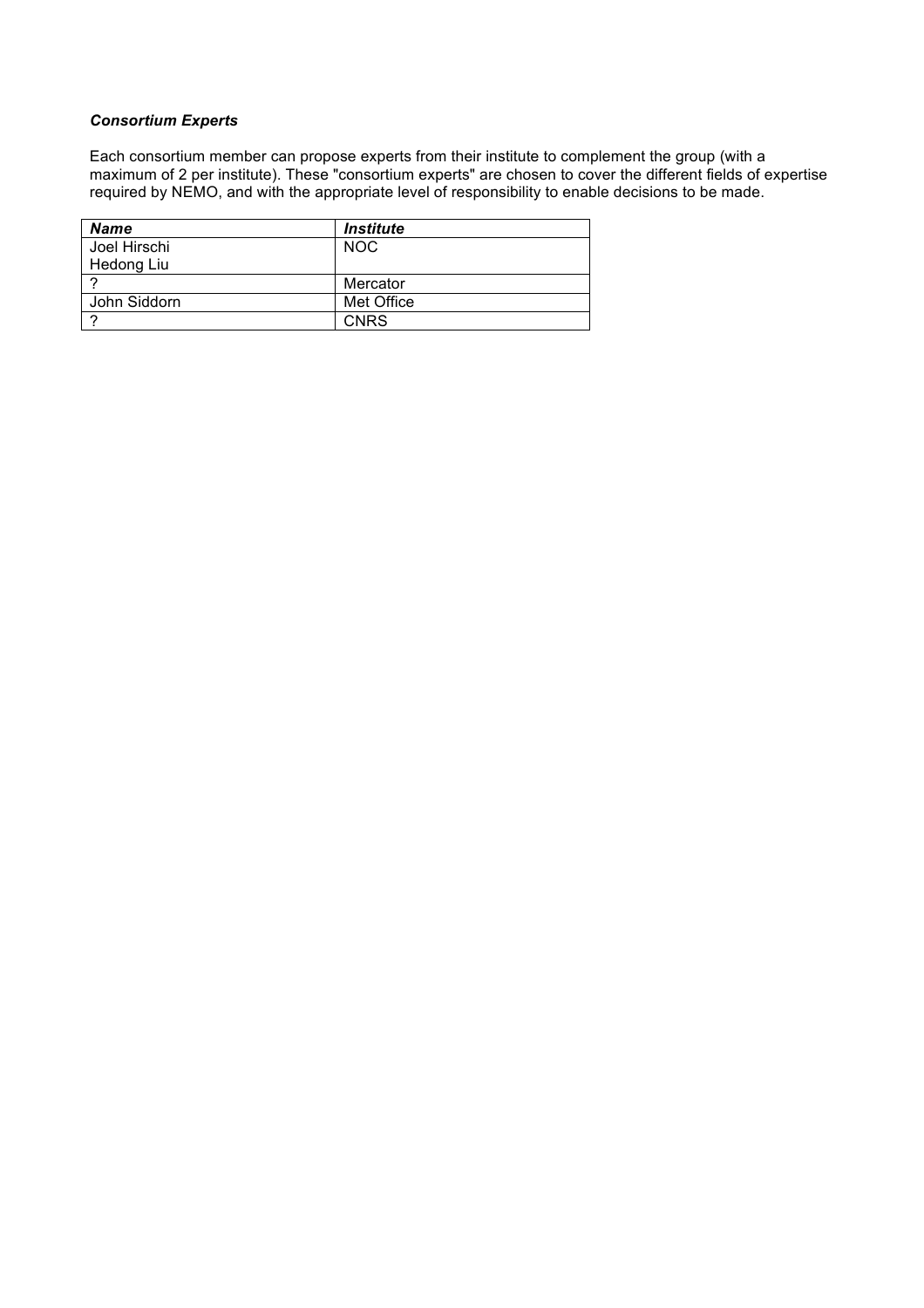## *Consortium Experts*

Each consortium member can propose experts from their institute to complement the group (with a maximum of 2 per institute). These "consortium experts" are chosen to cover the different fields of expertise required by NEMO, and with the appropriate level of responsibility to enable decisions to be made.

| <b>Name</b>  | <i><b>Institute</b></i> |
|--------------|-------------------------|
| Joel Hirschi | <b>NOC</b>              |
| Hedong Liu   |                         |
|              | Mercator                |
| John Siddorn | Met Office              |
|              | <b>CNRS</b>             |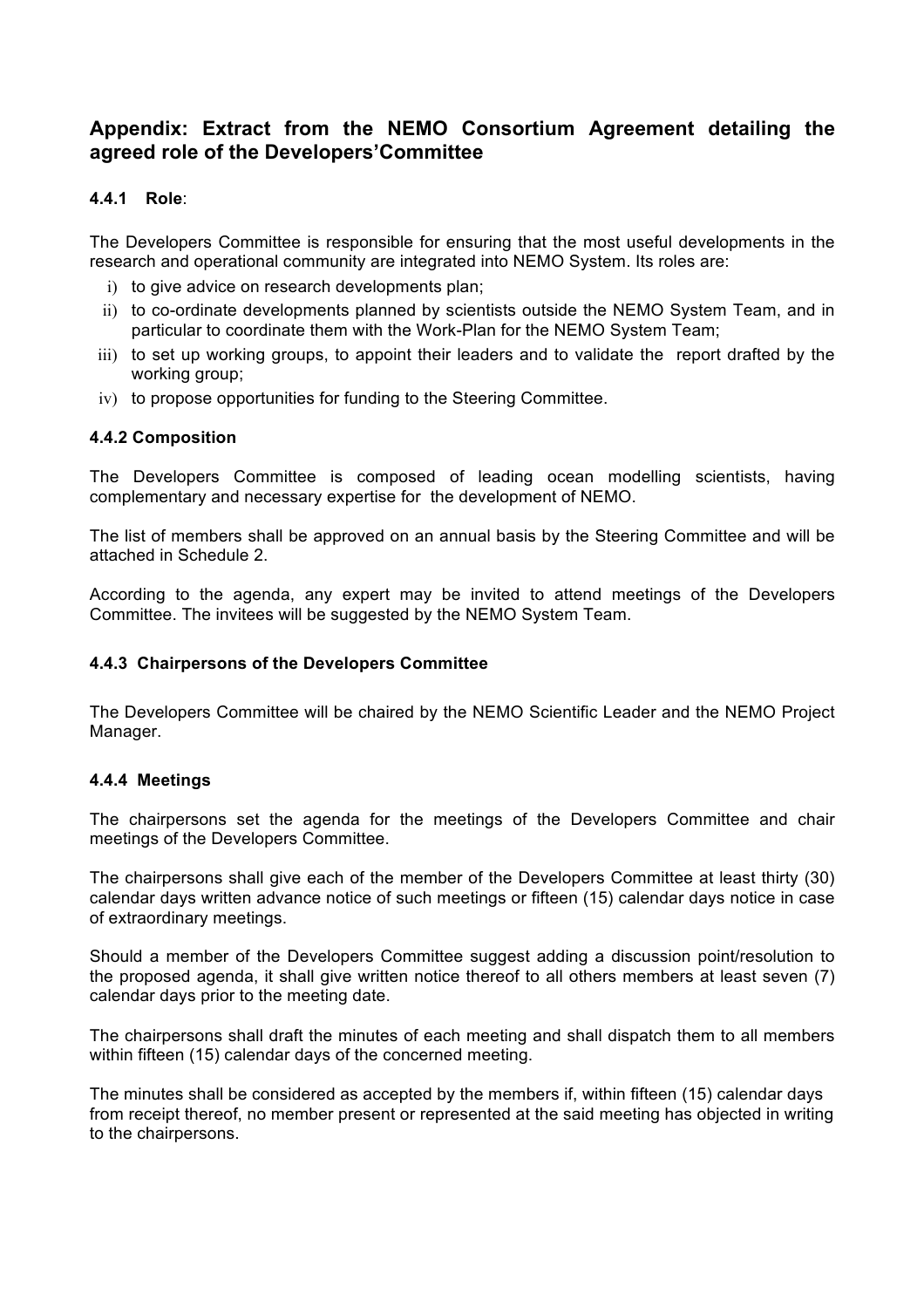# **Appendix: Extract from the NEMO Consortium Agreement detailing the agreed role of the Developers'Committee**

# **4.4.1 Role**:

The Developers Committee is responsible for ensuring that the most useful developments in the research and operational community are integrated into NEMO System. Its roles are:

- i) to give advice on research developments plan;
- ii) to co-ordinate developments planned by scientists outside the NEMO System Team, and in particular to coordinate them with the Work-Plan for the NEMO System Team;
- iii) to set up working groups, to appoint their leaders and to validate the report drafted by the working group;
- iv) to propose opportunities for funding to the Steering Committee.

## **4.4.2 Composition**

The Developers Committee is composed of leading ocean modelling scientists, having complementary and necessary expertise for the development of NEMO.

The list of members shall be approved on an annual basis by the Steering Committee and will be attached in Schedule 2.

According to the agenda, any expert may be invited to attend meetings of the Developers Committee. The invitees will be suggested by the NEMO System Team.

## **4.4.3 Chairpersons of the Developers Committee**

The Developers Committee will be chaired by the NEMO Scientific Leader and the NEMO Project Manager.

### **4.4.4 Meetings**

The chairpersons set the agenda for the meetings of the Developers Committee and chair meetings of the Developers Committee.

The chairpersons shall give each of the member of the Developers Committee at least thirty (30) calendar days written advance notice of such meetings or fifteen (15) calendar days notice in case of extraordinary meetings.

Should a member of the Developers Committee suggest adding a discussion point/resolution to the proposed agenda, it shall give written notice thereof to all others members at least seven (7) calendar days prior to the meeting date.

The chairpersons shall draft the minutes of each meeting and shall dispatch them to all members within fifteen (15) calendar days of the concerned meeting.

The minutes shall be considered as accepted by the members if, within fifteen (15) calendar days from receipt thereof, no member present or represented at the said meeting has objected in writing to the chairpersons.